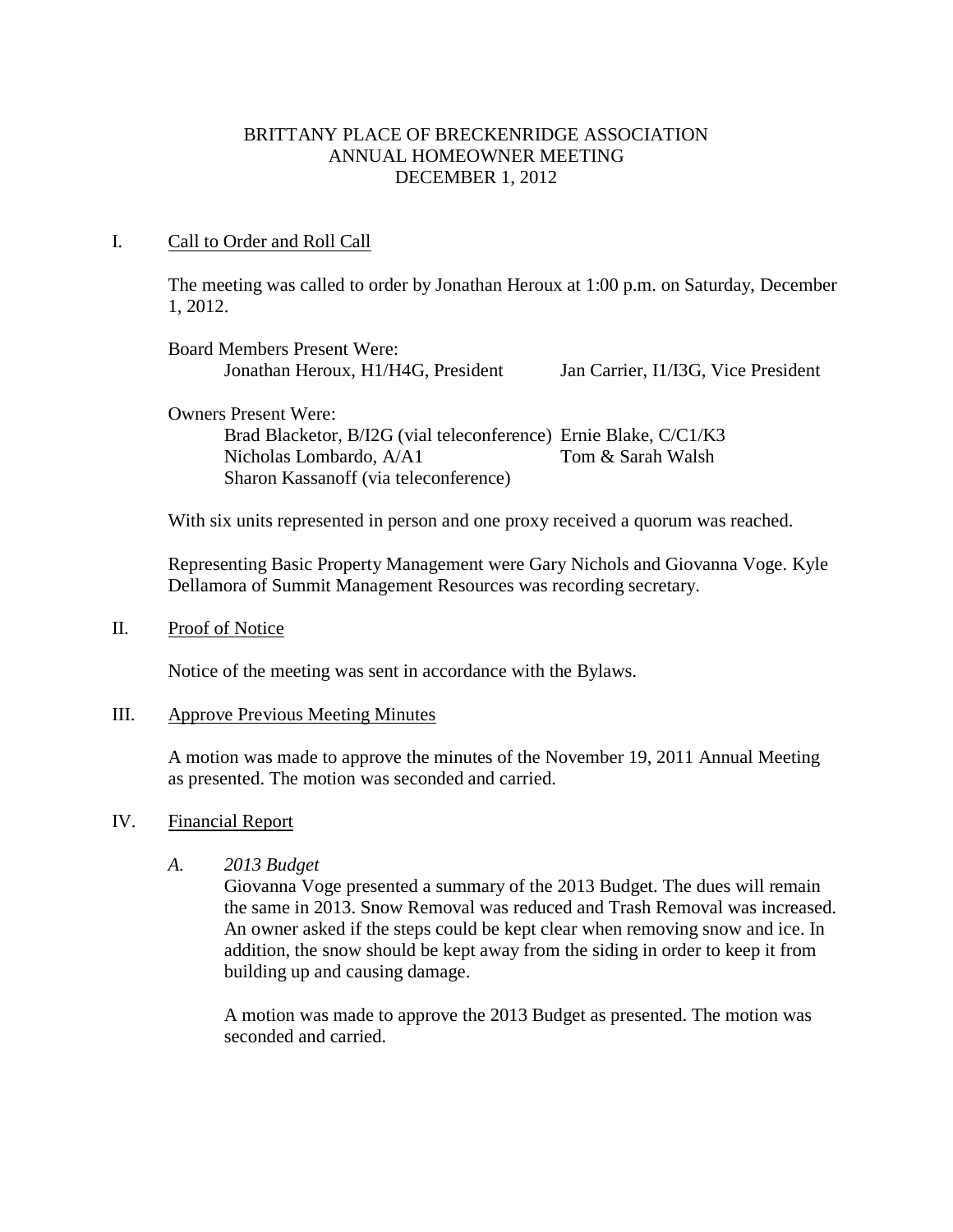### BRITTANY PLACE OF BRECKENRIDGE ASSOCIATION ANNUAL HOMEOWNER MEETING DECEMBER 1, 2012

### I. Call to Order and Roll Call

The meeting was called to order by Jonathan Heroux at 1:00 p.m. on Saturday, December 1, 2012.

| <b>Board Members Present Were:</b>                               |                                     |
|------------------------------------------------------------------|-------------------------------------|
| Jonathan Heroux, H1/H4G, President                               | Jan Carrier, I1/I3G, Vice President |
| <b>Owners Present Were:</b>                                      |                                     |
|                                                                  |                                     |
| Brad Blacketor, B/I2G (vial teleconference) Ernie Blake, C/C1/K3 |                                     |

al teleconferenc Nicholas Lombardo, A/A1 Tom & Sarah Walsh Sharon Kassanoff (via teleconference)

With six units represented in person and one proxy received a quorum was reached.

Representing Basic Property Management were Gary Nichols and Giovanna Voge. Kyle Dellamora of Summit Management Resources was recording secretary.

II. Proof of Notice

Notice of the meeting was sent in accordance with the Bylaws.

### III. Approve Previous Meeting Minutes

A motion was made to approve the minutes of the November 19, 2011 Annual Meeting as presented. The motion was seconded and carried.

### IV. Financial Report

*A. 2013 Budget*

Giovanna Voge presented a summary of the 2013 Budget. The dues will remain the same in 2013. Snow Removal was reduced and Trash Removal was increased. An owner asked if the steps could be kept clear when removing snow and ice. In addition, the snow should be kept away from the siding in order to keep it from building up and causing damage.

A motion was made to approve the 2013 Budget as presented. The motion was seconded and carried.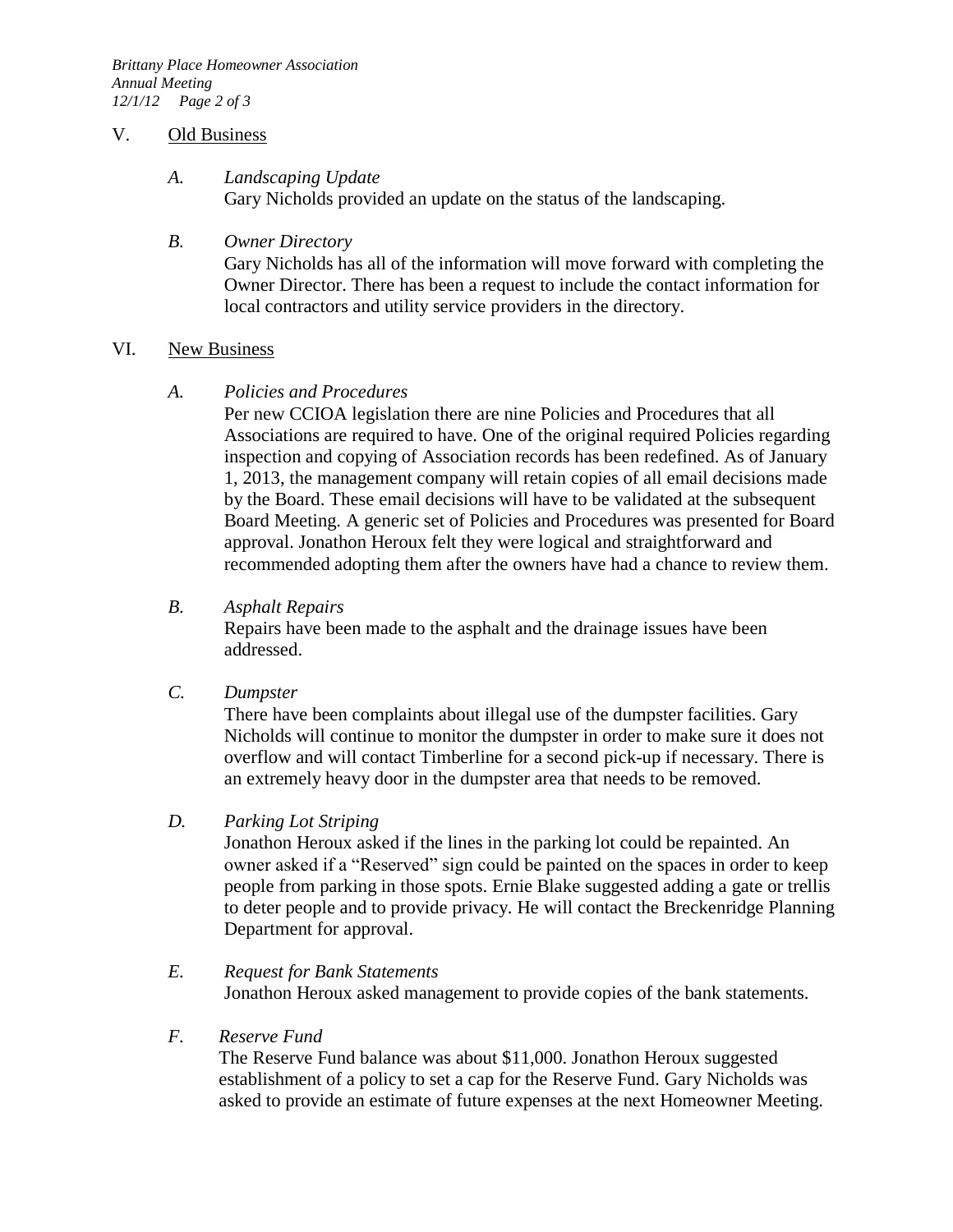#### V. Old Business

# *A. Landscaping Update*

Gary Nicholds provided an update on the status of the landscaping.

### *B. Owner Directory*

Gary Nicholds has all of the information will move forward with completing the Owner Director. There has been a request to include the contact information for local contractors and utility service providers in the directory.

### VI. New Business

### *A. Policies and Procedures*

Per new CCIOA legislation there are nine Policies and Procedures that all Associations are required to have. One of the original required Policies regarding inspection and copying of Association records has been redefined. As of January 1, 2013, the management company will retain copies of all email decisions made by the Board. These email decisions will have to be validated at the subsequent Board Meeting. A generic set of Policies and Procedures was presented for Board approval. Jonathon Heroux felt they were logical and straightforward and recommended adopting them after the owners have had a chance to review them.

### *B. Asphalt Repairs*

Repairs have been made to the asphalt and the drainage issues have been addressed.

### *C. Dumpster*

There have been complaints about illegal use of the dumpster facilities. Gary Nicholds will continue to monitor the dumpster in order to make sure it does not overflow and will contact Timberline for a second pick-up if necessary. There is an extremely heavy door in the dumpster area that needs to be removed.

# *D. Parking Lot Striping*

Jonathon Heroux asked if the lines in the parking lot could be repainted. An owner asked if a "Reserved" sign could be painted on the spaces in order to keep people from parking in those spots. Ernie Blake suggested adding a gate or trellis to deter people and to provide privacy. He will contact the Breckenridge Planning Department for approval.

# *E. Request for Bank Statements* Jonathon Heroux asked management to provide copies of the bank statements.

# *F. Reserve Fund*

The Reserve Fund balance was about \$11,000. Jonathon Heroux suggested establishment of a policy to set a cap for the Reserve Fund. Gary Nicholds was asked to provide an estimate of future expenses at the next Homeowner Meeting.